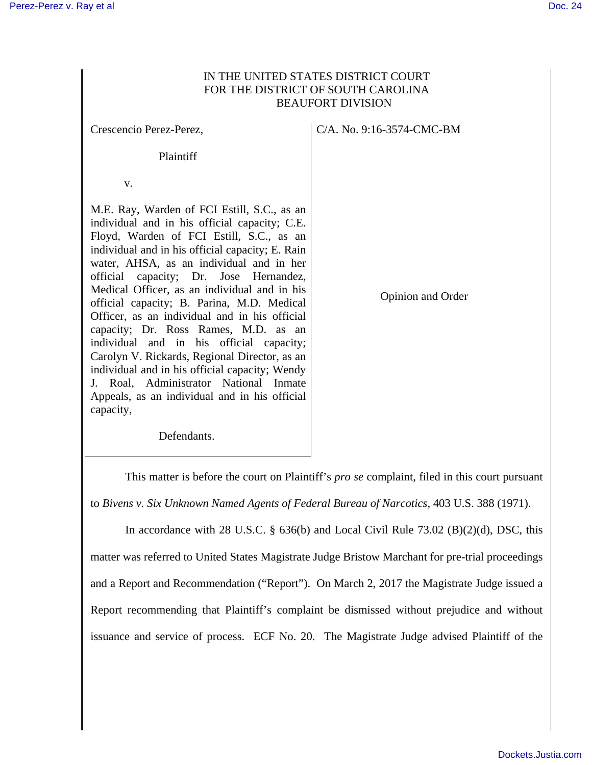## IN THE UNITED STATES DISTRICT COURT FOR THE DISTRICT OF SOUTH CAROLINA BEAUFORT DIVISION

Crescencio Perez-Perez, Plaintiff v. M.E. Ray, Warden of FCI Estill, S.C., as an individual and in his official capacity; C.E. Floyd, Warden of FCI Estill, S.C., as an individual and in his official capacity; E. Rain water, AHSA, as an individual and in her official capacity; Dr. Jose Hernandez, Medical Officer, as an individual and in his official capacity; B. Parina, M.D. Medical Officer, as an individual and in his official capacity; Dr. Ross Rames, M.D. as an individual and in his official capacity; Carolyn V. Rickards, Regional Director, as an individual and in his official capacity; Wendy J. Roal, Administrator National Inmate Appeals, as an individual and in his official capacity, C/A. No. 9:16-3574-CMC-BM Opinion and Order

Defendants.

This matter is before the court on Plaintiff's *pro se* complaint, filed in this court pursuant to *Bivens v. Six Unknown Named Agents of Federal Bureau of Narcotics*, 403 U.S. 388 (1971).

In accordance with 28 U.S.C.  $\S$  636(b) and Local Civil Rule 73.02 (B)(2)(d), DSC, this matter was referred to United States Magistrate Judge Bristow Marchant for pre-trial proceedings and a Report and Recommendation ("Report"). On March 2, 2017 the Magistrate Judge issued a Report recommending that Plaintiff's complaint be dismissed without prejudice and without issuance and service of process. ECF No. 20. The Magistrate Judge advised Plaintiff of the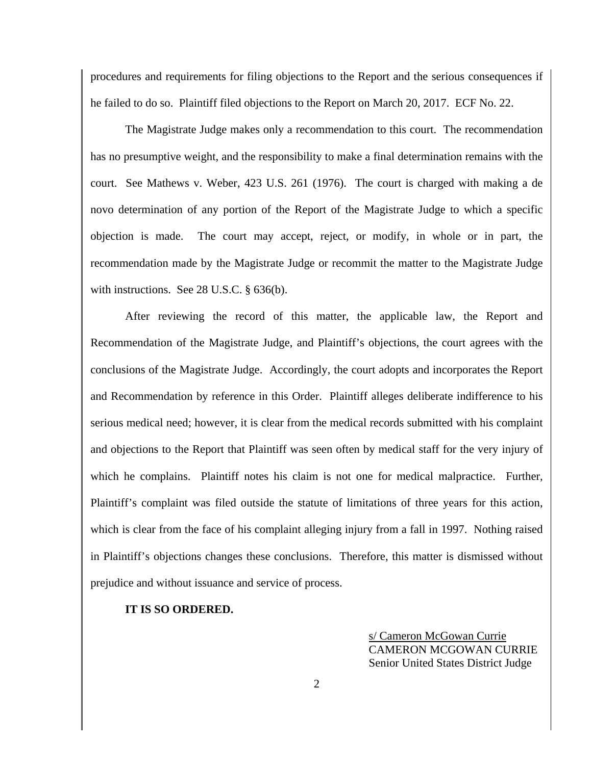procedures and requirements for filing objections to the Report and the serious consequences if he failed to do so. Plaintiff filed objections to the Report on March 20, 2017. ECF No. 22.

 The Magistrate Judge makes only a recommendation to this court. The recommendation has no presumptive weight, and the responsibility to make a final determination remains with the court. See Mathews v. Weber, 423 U.S. 261 (1976). The court is charged with making a de novo determination of any portion of the Report of the Magistrate Judge to which a specific objection is made. The court may accept, reject, or modify, in whole or in part, the recommendation made by the Magistrate Judge or recommit the matter to the Magistrate Judge with instructions. See 28 U.S.C. § 636(b).

 After reviewing the record of this matter, the applicable law, the Report and Recommendation of the Magistrate Judge, and Plaintiff's objections, the court agrees with the conclusions of the Magistrate Judge. Accordingly, the court adopts and incorporates the Report and Recommendation by reference in this Order. Plaintiff alleges deliberate indifference to his serious medical need; however, it is clear from the medical records submitted with his complaint and objections to the Report that Plaintiff was seen often by medical staff for the very injury of which he complains. Plaintiff notes his claim is not one for medical malpractice. Further, Plaintiff's complaint was filed outside the statute of limitations of three years for this action, which is clear from the face of his complaint alleging injury from a fall in 1997. Nothing raised in Plaintiff's objections changes these conclusions. Therefore, this matter is dismissed without prejudice and without issuance and service of process.

## **IT IS SO ORDERED.**

s/ Cameron McGowan Currie CAMERON MCGOWAN CURRIE Senior United States District Judge